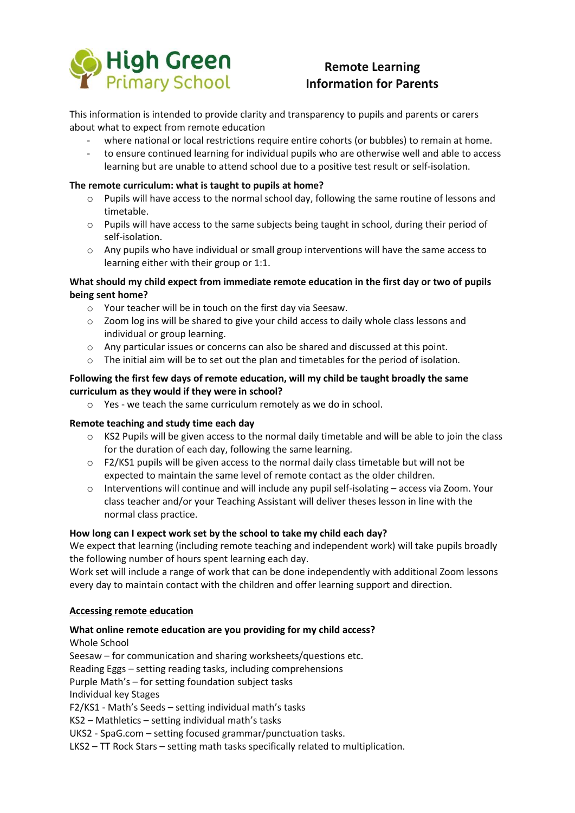

# **Remote Learning Information for Parents**

This information is intended to provide clarity and transparency to pupils and parents or carers about what to expect from remote education

- where national or local restrictions require entire cohorts (or bubbles) to remain at home.
- to ensure continued learning for individual pupils who are otherwise well and able to access learning but are unable to attend school due to a positive test result or self-isolation.

#### **The remote curriculum: what is taught to pupils at home?**

- o Pupils will have access to the normal school day, following the same routine of lessons and timetable.
- o Pupils will have access to the same subjects being taught in school, during their period of self-isolation.
- $\circ$  Any pupils who have individual or small group interventions will have the same access to learning either with their group or 1:1.

## **What should my child expect from immediate remote education in the first day or two of pupils being sent home?**

- o Your teacher will be in touch on the first day via Seesaw.
- o Zoom log ins will be shared to give your child access to daily whole class lessons and individual or group learning.
- $\circ$  Any particular issues or concerns can also be shared and discussed at this point.
- $\circ$  The initial aim will be to set out the plan and timetables for the period of isolation.

#### **Following the first few days of remote education, will my child be taught broadly the same curriculum as they would if they were in school?**

o Yes - we teach the same curriculum remotely as we do in school.

#### **Remote teaching and study time each day**

- o KS2 Pupils will be given access to the normal daily timetable and will be able to join the class for the duration of each day, following the same learning.
- o F2/KS1 pupils will be given access to the normal daily class timetable but will not be expected to maintain the same level of remote contact as the older children.
- o Interventions will continue and will include any pupil self-isolating access via Zoom. Your class teacher and/or your Teaching Assistant will deliver theses lesson in line with the normal class practice.

#### **How long can I expect work set by the school to take my child each day?**

We expect that learning (including remote teaching and independent work) will take pupils broadly the following number of hours spent learning each day.

Work set will include a range of work that can be done independently with additional Zoom lessons every day to maintain contact with the children and offer learning support and direction.

#### **Accessing remote education**

#### **What online remote education are you providing for my child access?**

Whole School

Seesaw – for communication and sharing worksheets/questions etc.

Reading Eggs – setting reading tasks, including comprehensions

Purple Math's – for setting foundation subject tasks

Individual key Stages

F2/KS1 - Math's Seeds – setting individual math's tasks

KS2 – Mathletics – setting individual math's tasks

UKS2 - SpaG.com – setting focused grammar/punctuation tasks.

LKS2 – TT Rock Stars – setting math tasks specifically related to multiplication.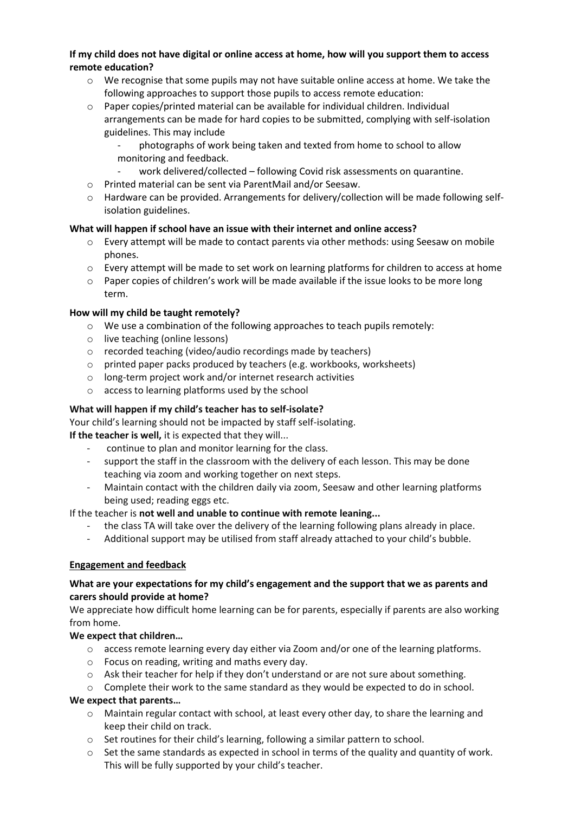## **If my child does not have digital or online access at home, how will you support them to access remote education?**

- $\circ$  We recognise that some pupils may not have suitable online access at home. We take the following approaches to support those pupils to access remote education:
- o Paper copies/printed material can be available for individual children. Individual arrangements can be made for hard copies to be submitted, complying with self-isolation guidelines. This may include
	- photographs of work being taken and texted from home to school to allow monitoring and feedback.
	- work delivered/collected following Covid risk assessments on quarantine.
- o Printed material can be sent via ParentMail and/or Seesaw.
- $\circ$  Hardware can be provided. Arrangements for delivery/collection will be made following selfisolation guidelines.

# **What will happen if school have an issue with their internet and online access?**

- o Every attempt will be made to contact parents via other methods: using Seesaw on mobile phones.
- o Every attempt will be made to set work on learning platforms for children to access at home
- $\circ$  Paper copies of children's work will be made available if the issue looks to be more long term.

## **How will my child be taught remotely?**

- $\circ$  We use a combination of the following approaches to teach pupils remotely:
- o live teaching (online lessons)
- o recorded teaching (video/audio recordings made by teachers)
- o printed paper packs produced by teachers (e.g. workbooks, worksheets)
- o long-term project work and/or internet research activities
- o access to learning platforms used by the school

## **What will happen if my child's teacher has to self-isolate?**

Your child's learning should not be impacted by staff self-isolating.

**If the teacher is well,** it is expected that they will...

- continue to plan and monitor learning for the class.
- support the staff in the classroom with the delivery of each lesson. This may be done teaching via zoom and working together on next steps.
- Maintain contact with the children daily via zoom, Seesaw and other learning platforms being used; reading eggs etc.

If the teacher is **not well and unable to continue with remote leaning...**

- the class TA will take over the delivery of the learning following plans already in place.
- Additional support may be utilised from staff already attached to your child's bubble.

## **Engagement and feedback**

## **What are your expectations for my child's engagement and the support that we as parents and carers should provide at home?**

We appreciate how difficult home learning can be for parents, especially if parents are also working from home.

## **We expect that children…**

- o access remote learning every day either via Zoom and/or one of the learning platforms.
- o Focus on reading, writing and maths every day.
- $\circ$  Ask their teacher for help if they don't understand or are not sure about something.
- $\circ$  Complete their work to the same standard as they would be expected to do in school.

# **We expect that parents…**

- $\circ$  Maintain regular contact with school, at least every other day, to share the learning and keep their child on track.
- $\circ$  Set routines for their child's learning, following a similar pattern to school.
- $\circ$  Set the same standards as expected in school in terms of the quality and quantity of work. This will be fully supported by your child's teacher.